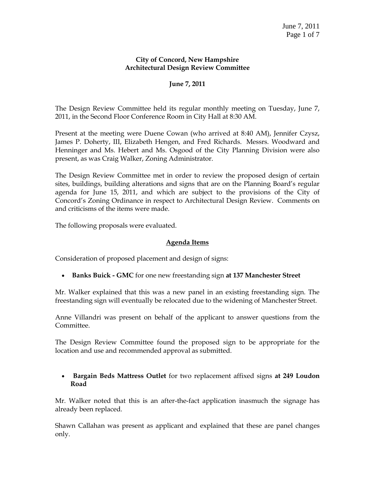#### **City of Concord, New Hampshire Architectural Design Review Committee**

# **June 7, 2011**

The Design Review Committee held its regular monthly meeting on Tuesday, June 7, 2011, in the Second Floor Conference Room in City Hall at 8:30 AM.

Present at the meeting were Duene Cowan (who arrived at 8:40 AM), Jennifer Czysz, James P. Doherty, III, Elizabeth Hengen, and Fred Richards. Messrs. Woodward and Henninger and Ms. Hebert and Ms. Osgood of the City Planning Division were also present, as was Craig Walker, Zoning Administrator.

The Design Review Committee met in order to review the proposed design of certain sites, buildings, building alterations and signs that are on the Planning Board's regular agenda for June 15, 2011, and which are subject to the provisions of the City of Concord's Zoning Ordinance in respect to Architectural Design Review. Comments on and criticisms of the items were made.

The following proposals were evaluated.

#### **Agenda Items**

Consideration of proposed placement and design of signs:

**Banks Buick - GMC** for one new freestanding sign **at 137 Manchester Street**

Mr. Walker explained that this was a new panel in an existing freestanding sign. The freestanding sign will eventually be relocated due to the widening of Manchester Street.

Anne Villandri was present on behalf of the applicant to answer questions from the Committee.

The Design Review Committee found the proposed sign to be appropriate for the location and use and recommended approval as submitted.

#### **Bargain Beds Mattress Outlet** for two replacement affixed signs **at 249 Loudon Road**

Mr. Walker noted that this is an after-the-fact application inasmuch the signage has already been replaced.

Shawn Callahan was present as applicant and explained that these are panel changes only.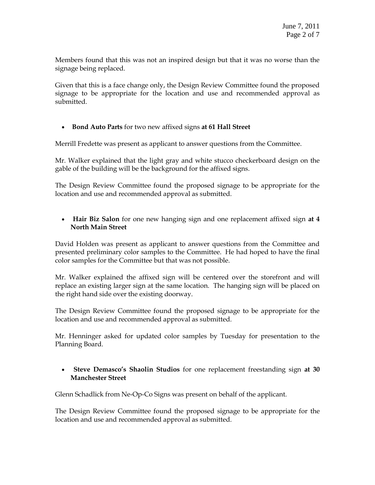Members found that this was not an inspired design but that it was no worse than the signage being replaced.

Given that this is a face change only, the Design Review Committee found the proposed signage to be appropriate for the location and use and recommended approval as submitted.

# **Bond Auto Parts** for two new affixed signs **at 61 Hall Street**

Merrill Fredette was present as applicant to answer questions from the Committee.

Mr. Walker explained that the light gray and white stucco checkerboard design on the gable of the building will be the background for the affixed signs.

The Design Review Committee found the proposed signage to be appropriate for the location and use and recommended approval as submitted.

 **Hair Biz Salon** for one new hanging sign and one replacement affixed sign **at 4 North Main Street**

David Holden was present as applicant to answer questions from the Committee and presented preliminary color samples to the Committee. He had hoped to have the final color samples for the Committee but that was not possible.

Mr. Walker explained the affixed sign will be centered over the storefront and will replace an existing larger sign at the same location. The hanging sign will be placed on the right hand side over the existing doorway.

The Design Review Committee found the proposed signage to be appropriate for the location and use and recommended approval as submitted.

Mr. Henninger asked for updated color samples by Tuesday for presentation to the Planning Board.

# **Steve Demasco's Shaolin Studios** for one replacement freestanding sign **at 30 Manchester Street**

Glenn Schadlick from Ne-Op-Co Signs was present on behalf of the applicant.

The Design Review Committee found the proposed signage to be appropriate for the location and use and recommended approval as submitted.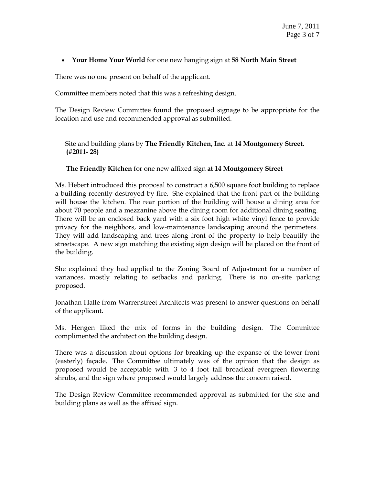### **Your Home Your World** for one new hanging sign at **58 North Main Street**

There was no one present on behalf of the applicant.

Committee members noted that this was a refreshing design.

The Design Review Committee found the proposed signage to be appropriate for the location and use and recommended approval as submitted.

 Site and building plans by **The Friendly Kitchen, Inc.** at **14 Montgomery Street. (#2011- 28)**

# **The Friendly Kitchen** for one new affixed sign **at 14 Montgomery Street**

Ms. Hebert introduced this proposal to construct a 6,500 square foot building to replace a building recently destroyed by fire. She explained that the front part of the building will house the kitchen. The rear portion of the building will house a dining area for about 70 people and a mezzanine above the dining room for additional dining seating. There will be an enclosed back yard with a six foot high white vinyl fence to provide privacy for the neighbors, and low-maintenance landscaping around the perimeters. They will add landscaping and trees along front of the property to help beautify the streetscape. A new sign matching the existing sign design will be placed on the front of the building.

She explained they had applied to the Zoning Board of Adjustment for a number of variances, mostly relating to setbacks and parking. There is no on-site parking proposed.

Jonathan Halle from Warrenstreet Architects was present to answer questions on behalf of the applicant.

Ms. Hengen liked the mix of forms in the building design. The Committee complimented the architect on the building design.

There was a discussion about options for breaking up the expanse of the lower front (easterly) façade. The Committee ultimately was of the opinion that the design as proposed would be acceptable with 3 to 4 foot tall broadleaf evergreen flowering shrubs, and the sign where proposed would largely address the concern raised.

The Design Review Committee recommended approval as submitted for the site and building plans as well as the affixed sign.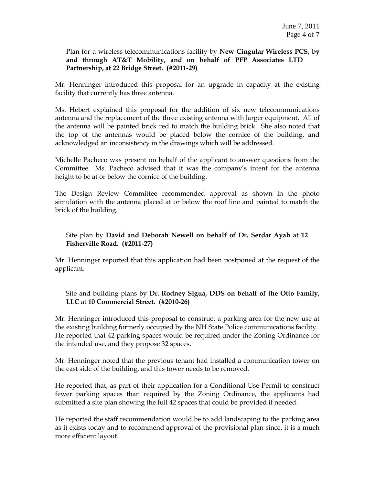Plan for a wireless telecommunications facility by **New Cingular Wireless PCS, by and through AT&T Mobility, and on behalf of PFP Associates LTD Partnership, at 22 Bridge Street. (#2011-29)**

Mr. Henninger introduced this proposal for an upgrade in capacity at the existing facility that currently has three antenna.

Ms. Hebert explained this proposal for the addition of six new telecommunications antenna and the replacement of the three existing antenna with larger equipment. All of the antenna will be painted brick red to match the building brick. She also noted that the top of the antennas would be placed below the cornice of the building, and acknowledged an inconsistency in the drawings which will be addressed.

Michelle Pacheco was present on behalf of the applicant to answer questions from the Committee. Ms. Pacheco advised that it was the company's intent for the antenna height to be at or below the cornice of the building.

The Design Review Committee recommended approval as shown in the photo simulation with the antenna placed at or below the roof line and painted to match the brick of the building.

# Site plan by **David and Deborah Newell on behalf of Dr. Serdar Ayah** at **12 Fisherville Road. (#2011-27)**

Mr. Henninger reported that this application had been postponed at the request of the applicant.

 Site and building plans by **Dr. Rodney Sigua, DDS on behalf of the Otto Family, LLC** at **10 Commercial Street**. **(#2010-26)**

Mr. Henninger introduced this proposal to construct a parking area for the new use at the existing building formerly occupied by the NH State Police communications facility. He reported that 42 parking spaces would be required under the Zoning Ordinance for the intended use, and they propose 32 spaces.

Mr. Henninger noted that the previous tenant had installed a communication tower on the east side of the building, and this tower needs to be removed.

He reported that, as part of their application for a Conditional Use Permit to construct fewer parking spaces than required by the Zoning Ordinance, the applicants had submitted a site plan showing the full 42 spaces that could be provided if needed.

He reported the staff recommendation would be to add landscaping to the parking area as it exists today and to recommend approval of the provisional plan since, it is a much more efficient layout.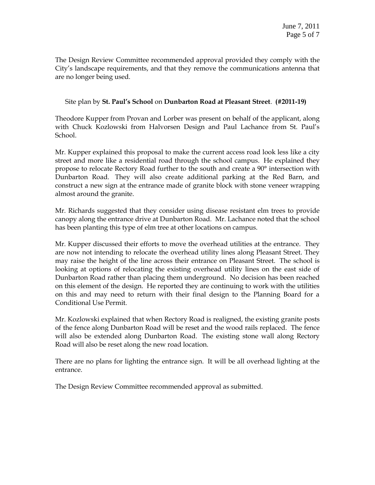The Design Review Committee recommended approval provided they comply with the City's landscape requirements, and that they remove the communications antenna that are no longer being used.

### Site plan by **St. Paul's School** on **Dunbarton Road at Pleasant Street**. **(#2011-19)**

Theodore Kupper from Provan and Lorber was present on behalf of the applicant, along with Chuck Kozlowski from Halvorsen Design and Paul Lachance from St. Paul's School.

Mr. Kupper explained this proposal to make the current access road look less like a city street and more like a residential road through the school campus. He explained they propose to relocate Rectory Road further to the south and create a 90° intersection with Dunbarton Road. They will also create additional parking at the Red Barn, and construct a new sign at the entrance made of granite block with stone veneer wrapping almost around the granite.

Mr. Richards suggested that they consider using disease resistant elm trees to provide canopy along the entrance drive at Dunbarton Road. Mr. Lachance noted that the school has been planting this type of elm tree at other locations on campus.

Mr. Kupper discussed their efforts to move the overhead utilities at the entrance. They are now not intending to relocate the overhead utility lines along Pleasant Street. They may raise the height of the line across their entrance on Pleasant Street. The school is looking at options of relocating the existing overhead utility lines on the east side of Dunbarton Road rather than placing them underground. No decision has been reached on this element of the design. He reported they are continuing to work with the utilities on this and may need to return with their final design to the Planning Board for a Conditional Use Permit.

Mr. Kozlowski explained that when Rectory Road is realigned, the existing granite posts of the fence along Dunbarton Road will be reset and the wood rails replaced. The fence will also be extended along Dunbarton Road. The existing stone wall along Rectory Road will also be reset along the new road location.

There are no plans for lighting the entrance sign. It will be all overhead lighting at the entrance.

The Design Review Committee recommended approval as submitted.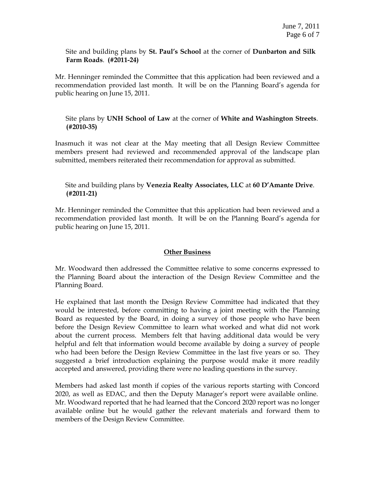#### Site and building plans by **St. Paul's School** at the corner of **Dunbarton and Silk Farm Roads**. **(#2011-24)**

Mr. Henninger reminded the Committee that this application had been reviewed and a recommendation provided last month. It will be on the Planning Board's agenda for public hearing on June 15, 2011.

# Site plans by **UNH School of Law** at the corner of **White and Washington Streets**. **(#2010-35)**

Inasmuch it was not clear at the May meeting that all Design Review Committee members present had reviewed and recommended approval of the landscape plan submitted, members reiterated their recommendation for approval as submitted.

# Site and building plans by **Venezia Realty Associates, LLC** at **60 D'Amante Drive**. **(#2011-21)**

Mr. Henninger reminded the Committee that this application had been reviewed and a recommendation provided last month. It will be on the Planning Board's agenda for public hearing on June 15, 2011.

#### **Other Business**

Mr. Woodward then addressed the Committee relative to some concerns expressed to the Planning Board about the interaction of the Design Review Committee and the Planning Board.

He explained that last month the Design Review Committee had indicated that they would be interested, before committing to having a joint meeting with the Planning Board as requested by the Board, in doing a survey of those people who have been before the Design Review Committee to learn what worked and what did not work about the current process. Members felt that having additional data would be very helpful and felt that information would become available by doing a survey of people who had been before the Design Review Committee in the last five years or so. They suggested a brief introduction explaining the purpose would make it more readily accepted and answered, providing there were no leading questions in the survey.

Members had asked last month if copies of the various reports starting with Concord 2020, as well as EDAC, and then the Deputy Manager's report were available online. Mr. Woodward reported that he had learned that the Concord 2020 report was no longer available online but he would gather the relevant materials and forward them to members of the Design Review Committee.